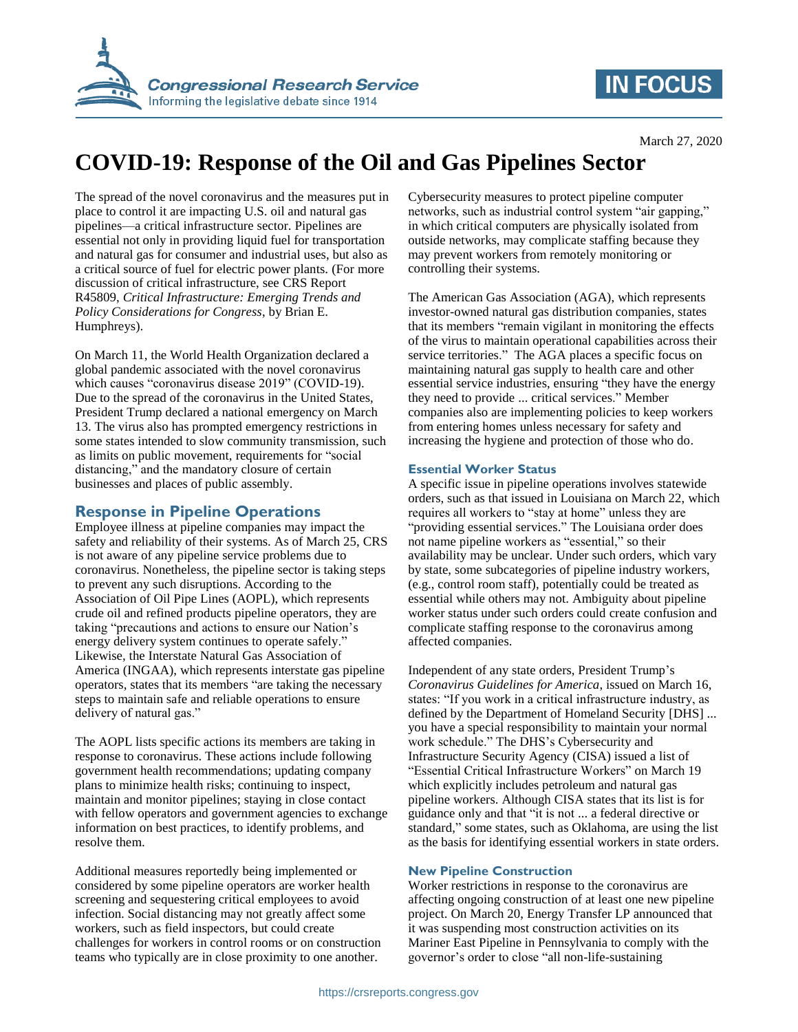

## **IN FOCUS**

# **COVID-19: Response of the Oil and Gas Pipelines Sector**

The spread of the novel coronavirus and the measures put in place to control it are impacting U.S. oil and natural gas pipelines—a critical infrastructure sector. Pipelines are essential not only in providing liquid fuel for transportation and natural gas for consumer and industrial uses, but also as a critical source of fuel for electric power plants. (For more discussion of critical infrastructure, see CRS Report R45809, *Critical Infrastructure: Emerging Trends and Policy Considerations for Congress*, by Brian E. Humphreys).

On March 11, the World Health Organization declared a global pandemic associated with the novel coronavirus which causes "coronavirus disease 2019" (COVID-19). Due to the spread of the coronavirus in the United States, President Trump declared a national emergency on March 13. The virus also has prompted emergency restrictions in some states intended to slow community transmission, such as limits on public movement, requirements for "social distancing," and the mandatory closure of certain businesses and places of public assembly.

### **Response in Pipeline Operations**

Employee illness at pipeline companies may impact the safety and reliability of their systems. As of March 25, CRS is not aware of any pipeline service problems due to coronavirus. Nonetheless, the pipeline sector is taking steps to prevent any such disruptions. According to the Association of Oil Pipe Lines (AOPL), which represents crude oil and refined products pipeline operators, they are taking "precautions and actions to ensure our Nation's energy delivery system continues to operate safely." Likewise, the Interstate Natural Gas Association of America (INGAA), which represents interstate gas pipeline operators, states that its members "are taking the necessary steps to maintain safe and reliable operations to ensure delivery of natural gas."

The AOPL lists specific actions its members are taking in response to coronavirus. These actions include following government health recommendations; updating company plans to minimize health risks; continuing to inspect, maintain and monitor pipelines; staying in close contact with fellow operators and government agencies to exchange information on best practices, to identify problems, and resolve them.

Additional measures reportedly being implemented or considered by some pipeline operators are worker health screening and sequestering critical employees to avoid infection. Social distancing may not greatly affect some workers, such as field inspectors, but could create challenges for workers in control rooms or on construction teams who typically are in close proximity to one another.

Cybersecurity measures to protect pipeline computer networks, such as industrial control system "air gapping," in which critical computers are physically isolated from outside networks, may complicate staffing because they may prevent workers from remotely monitoring or controlling their systems.

The American Gas Association (AGA), which represents investor-owned natural gas distribution companies, states that its members "remain vigilant in monitoring the effects of the virus to maintain operational capabilities across their service territories." The AGA places a specific focus on maintaining natural gas supply to health care and other essential service industries, ensuring "they have the energy they need to provide ... critical services." Member companies also are implementing policies to keep workers from entering homes unless necessary for safety and increasing the hygiene and protection of those who do.

#### **Essential Worker Status**

A specific issue in pipeline operations involves statewide orders, such as that issued in Louisiana on March 22, which requires all workers to "stay at home" unless they are "providing essential services." The Louisiana order does not name pipeline workers as "essential," so their availability may be unclear. Under such orders, which vary by state, some subcategories of pipeline industry workers, (e.g., control room staff), potentially could be treated as essential while others may not. Ambiguity about pipeline worker status under such orders could create confusion and complicate staffing response to the coronavirus among affected companies.

Independent of any state orders, President Trump's *Coronavirus Guidelines for America*, issued on March 16, states: "If you work in a critical infrastructure industry, as defined by the Department of Homeland Security [DHS] ... you have a special responsibility to maintain your normal work schedule." The DHS's Cybersecurity and Infrastructure Security Agency (CISA) issued a list of "Essential Critical Infrastructure Workers" on March 19 which explicitly includes petroleum and natural gas pipeline workers. Although CISA states that its list is for guidance only and that "it is not ... a federal directive or standard," some states, such as Oklahoma, are using the list as the basis for identifying essential workers in state orders.

#### **New Pipeline Construction**

Worker restrictions in response to the coronavirus are affecting ongoing construction of at least one new pipeline project. On March 20, Energy Transfer LP announced that it was suspending most construction activities on its Mariner East Pipeline in Pennsylvania to comply with the governor's order to close "all non-life-sustaining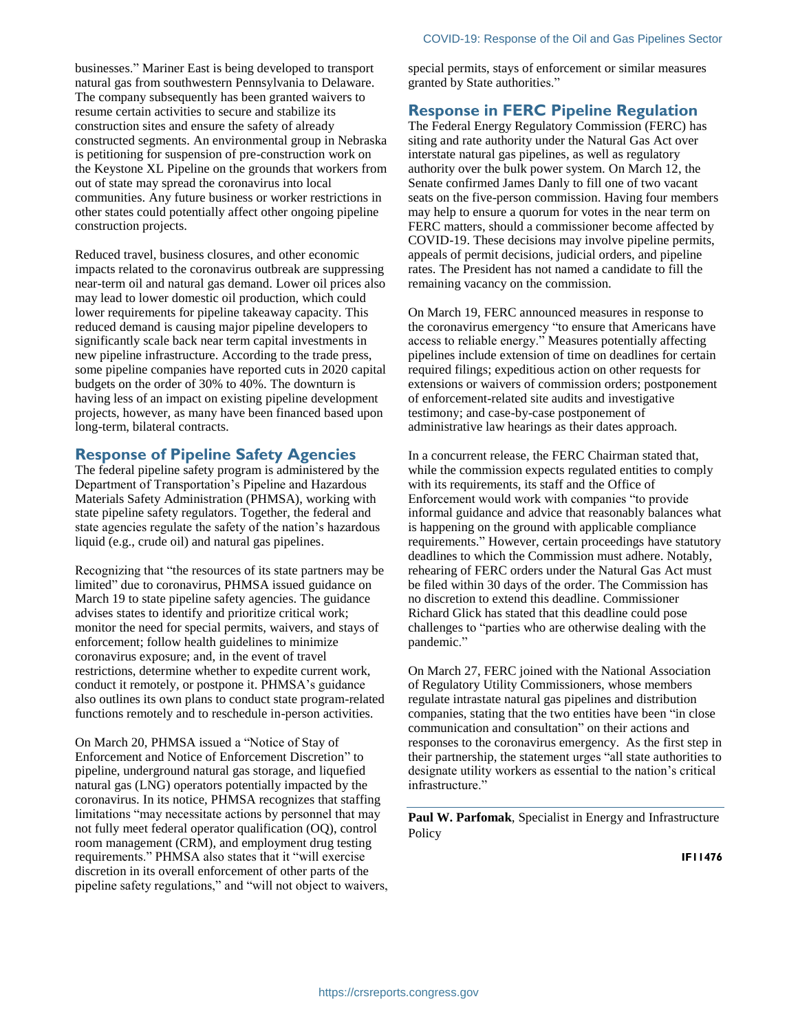businesses." Mariner East is being developed to transport natural gas from southwestern Pennsylvania to Delaware. The company subsequently has been granted waivers to resume certain activities to secure and stabilize its construction sites and ensure the safety of already constructed segments. An environmental group in Nebraska is petitioning for suspension of pre-construction work on the Keystone XL Pipeline on the grounds that workers from out of state may spread the coronavirus into local communities. Any future business or worker restrictions in other states could potentially affect other ongoing pipeline construction projects.

Reduced travel, business closures, and other economic impacts related to the coronavirus outbreak are suppressing near-term oil and natural gas demand. Lower oil prices also may lead to lower domestic oil production, which could lower requirements for pipeline takeaway capacity. This reduced demand is causing major pipeline developers to significantly scale back near term capital investments in new pipeline infrastructure. According to the trade press, some pipeline companies have reported cuts in 2020 capital budgets on the order of 30% to 40%. The downturn is having less of an impact on existing pipeline development projects, however, as many have been financed based upon long-term, bilateral contracts.

#### **Response of Pipeline Safety Agencies**

The federal pipeline safety program is administered by the Department of Transportation's Pipeline and Hazardous Materials Safety Administration (PHMSA), working with state pipeline safety regulators. Together, the federal and state agencies regulate the safety of the nation's hazardous liquid (e.g., crude oil) and natural gas pipelines.

Recognizing that "the resources of its state partners may be limited" due to coronavirus, PHMSA issued guidance on March 19 to state pipeline safety agencies. The guidance advises states to identify and prioritize critical work; monitor the need for special permits, waivers, and stays of enforcement; follow health guidelines to minimize coronavirus exposure; and, in the event of travel restrictions, determine whether to expedite current work, conduct it remotely, or postpone it. PHMSA's guidance also outlines its own plans to conduct state program-related functions remotely and to reschedule in-person activities.

On March 20, PHMSA issued a "Notice of Stay of Enforcement and Notice of Enforcement Discretion" to pipeline, underground natural gas storage, and liquefied natural gas (LNG) operators potentially impacted by the coronavirus. In its notice, PHMSA recognizes that staffing limitations "may necessitate actions by personnel that may not fully meet federal operator qualification (OQ), control room management (CRM), and employment drug testing requirements." PHMSA also states that it "will exercise discretion in its overall enforcement of other parts of the pipeline safety regulations," and "will not object to waivers, special permits, stays of enforcement or similar measures granted by State authorities."

#### **Response in FERC Pipeline Regulation**

The Federal Energy Regulatory Commission (FERC) has siting and rate authority under the Natural Gas Act over interstate natural gas pipelines, as well as regulatory authority over the bulk power system. On March 12, the Senate confirmed James Danly to fill one of two vacant seats on the five-person commission. Having four members may help to ensure a quorum for votes in the near term on FERC matters, should a commissioner become affected by COVID-19. These decisions may involve pipeline permits, appeals of permit decisions, judicial orders, and pipeline rates. The President has not named a candidate to fill the remaining vacancy on the commission.

On March 19, FERC announced measures in response to the coronavirus emergency "to ensure that Americans have access to reliable energy." Measures potentially affecting pipelines include extension of time on deadlines for certain required filings; expeditious action on other requests for extensions or waivers of commission orders; postponement of enforcement-related site audits and investigative testimony; and case-by-case postponement of administrative law hearings as their dates approach.

In a concurrent release, the FERC Chairman stated that, while the commission expects regulated entities to comply with its requirements, its staff and the Office of Enforcement would work with companies "to provide informal guidance and advice that reasonably balances what is happening on the ground with applicable compliance requirements." However, certain proceedings have statutory deadlines to which the Commission must adhere. Notably, rehearing of FERC orders under the Natural Gas Act must be filed within 30 days of the order. The Commission has no discretion to extend this deadline. Commissioner Richard Glick has stated that this deadline could pose challenges to "parties who are otherwise dealing with the pandemic."

On March 27, FERC joined with the National Association of Regulatory Utility Commissioners, whose members regulate intrastate natural gas pipelines and distribution companies, stating that the two entities have been "in close communication and consultation" on their actions and responses to the coronavirus emergency. As the first step in their partnership, the statement urges "all state authorities to designate utility workers as essential to the nation's critical infrastructure."

**Paul W. Parfomak**, Specialist in Energy and Infrastructure **Policy** 

**IF11476**